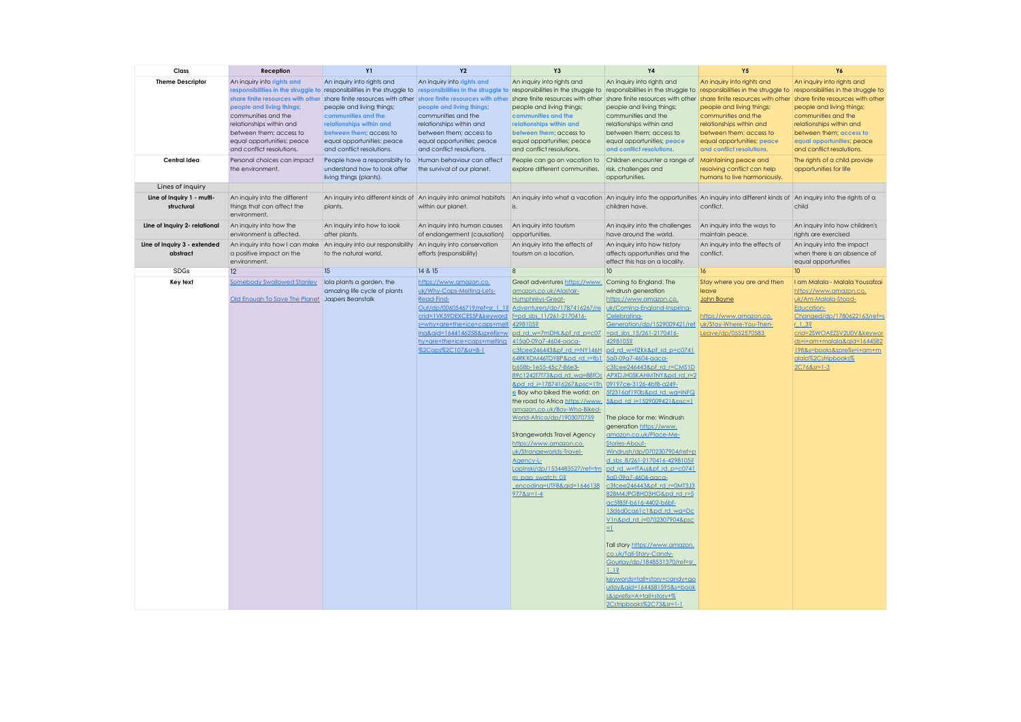| Class                                    | Reception                                                                   | <b>Y1</b>                                                                                        | <b>Y2</b>                                                   | Y <sub>3</sub>                                                                                   | <b>Y4</b>                                                       | <b>Y5</b>                                                                                                                                                                           | Y6                                                      |
|------------------------------------------|-----------------------------------------------------------------------------|--------------------------------------------------------------------------------------------------|-------------------------------------------------------------|--------------------------------------------------------------------------------------------------|-----------------------------------------------------------------|-------------------------------------------------------------------------------------------------------------------------------------------------------------------------------------|---------------------------------------------------------|
| <b>Theme Descriptor</b>                  | An inquiry into rights and                                                  | An inquiry into rights and                                                                       | An inquiry into rights and                                  | An inquiry into rights and                                                                       | An inquiry into rights and                                      | An inquiry into rights and                                                                                                                                                          | An inquiry into rights and                              |
|                                          |                                                                             | responsibilities in the struggle to responsibilities in the struggle to                          |                                                             |                                                                                                  |                                                                 | responsibilities in the struggle to responsibilities in the struggle to responsibilities in the struggle to responsibilities in the struggle to responsibilities in the struggle to |                                                         |
|                                          | people and living things;                                                   | share finite resources with other share finite resources with other<br>people and living things; | people and living things;                                   | share finite resources with other share finite resources with other<br>people and living things; | share finite resources with other<br>people and living things;  | share finite resources with other share finite resources with other<br>people and living things;                                                                                    | people and living things;                               |
|                                          | communities and the                                                         | communities and the                                                                              | communities and the                                         | communities and the                                                                              | communities and the                                             | communities and the                                                                                                                                                                 | communities and the                                     |
|                                          | relationships within and                                                    | relationships within and                                                                         | relationships within and                                    | relationships within and                                                                         | relationships within and                                        | relationships within and                                                                                                                                                            | relationships within and                                |
|                                          | between them; access to                                                     | between them; access to                                                                          | between them; access to                                     | between them; access to                                                                          | between them; access to                                         | between them; access to                                                                                                                                                             | between them; access to                                 |
|                                          | equal opportunities; peace<br>and conflict resolutions.                     | equal opportunities; peace<br>and conflict resolutions.                                          | equal opportunities; peace<br>and conflict resolutions.     | equal opportunities; peace<br>and conflict resolutions.                                          | equal opportunities; peace<br>and conflict resolutions.         | equal opportunities; peace<br>and conflict resolutions.                                                                                                                             | equal opportunities; peace<br>and conflict resolutions. |
| Central Idea                             | Personal choices can impact                                                 | People have a responsibilty to                                                                   | Human behaviour can affect                                  | People can go on vacation to                                                                     | Children encounter a range of Maintaining peace and             |                                                                                                                                                                                     | The rights of a child provide                           |
|                                          | the environment.                                                            | understand how to look after<br>living things (plants).                                          | the survival of our planet.                                 | explore different communities.                                                                   | risk, challenges and<br>opportunities.                          | resolving conflict can help<br>humans to live harmoniously.                                                                                                                         | opportunities for life                                  |
| Lines of inquiry                         |                                                                             |                                                                                                  |                                                             |                                                                                                  |                                                                 |                                                                                                                                                                                     |                                                         |
| Line of Inquiry 1 - multi-<br>structural | An inquiry into the different<br>things that can affect the<br>environment. | An inquiry into different kinds of An inquiry into animal habitats<br>plants.                    | within our planet.                                          | is.                                                                                              | children have.                                                  | An inquiry into what a vacation An inquiry into the opportunities An inquiry into different kinds of An inquiry into the rights of a<br>conflict.                                   | child                                                   |
| Line of Inquiry 2- relational            | An inquiry into how the<br>environment is affected.                         | An inquiry into how to look<br>after plants.                                                     | An inquiry into human causes<br>of endangerment (causation) | An inquiry into tourism<br>opportunities.                                                        | An inquiry into the challenges<br>have around the world.        | An inquiry into the ways to<br>maintain peace.                                                                                                                                      | An inquiry into how children's<br>rights are exercised  |
| Line of Inquiry 3 - extended             | An inquiry into how I can make An inquiry into our responsibility           |                                                                                                  | An inquiry into conservation                                | An inquiry into the effects of                                                                   | An inquiry into how history                                     | An inquiry into the effects of                                                                                                                                                      | An inquiry into the impact                              |
| abstract                                 | a positive impact on the<br>environment.                                    | to the natural world.                                                                            | efforts (responsibility)                                    | tourism on a location.                                                                           | affects opportunities and the<br>effect this has on a locality. | conflict.                                                                                                                                                                           | when there is an absence of<br>equal opportunities      |
| SDGs                                     | 12                                                                          | 15                                                                                               | 14 & 15                                                     | 8                                                                                                | 10 <sup>°</sup>                                                 | 16 <sup>2</sup>                                                                                                                                                                     | 10                                                      |
| Key text                                 | <b>Somebody Swallowed Stanley</b>                                           | lola plants a garden, the                                                                        | https://www.amazon.co.                                      | Great adventures https://www.                                                                    | Coming to England: The                                          | Stay where you are and then                                                                                                                                                         | I am Malala - Malala Yousafzai                          |
|                                          |                                                                             | amazing life cycle of plants                                                                     | uk/Why-Caps-Melting-Lets-                                   | amazon.co.uk/Alastair-                                                                           | windrush generation                                             | leave                                                                                                                                                                               | https://www.amazon.co.                                  |
|                                          | Old Enough To Save The Planet Jaspers Beanstalk                             |                                                                                                  | Read-Find-                                                  | <b>Humphreys-Great-</b>                                                                          | https://www.amazon.co.                                          | John Boyne                                                                                                                                                                          | uk/Am-Malala-Stood-                                     |
|                                          |                                                                             |                                                                                                  | crid=1VK59DEXCES5F&keyword   f=pd sbs 11/261-2170416-       | Out/dp/0060546719/ref=sr 1 1? Adventurers/dp/1787416267/re                                       | uk/Coming-England-Inspiring-<br>Celebrating-                    | https://www.amazon.co.                                                                                                                                                              | <b>Education-</b><br>Changed/dp/1780622163/ref=s        |
|                                          |                                                                             |                                                                                                  | s=why+are+the+ice+caps+melt 4298105?                        |                                                                                                  | Generation/dp/1529009421/ref                                    | uk/Stav-Where-You-Then-                                                                                                                                                             | 132                                                     |
|                                          |                                                                             |                                                                                                  |                                                             | ing&qid=1644146258&sprefix=w pd rd w=7mDHL&pf rd p=c07                                           | pd sbs 15/261-2170416-                                          | Leave/dp/0552570583                                                                                                                                                                 | crid=2SWOAEZSV2U0V&keywor                               |
|                                          |                                                                             |                                                                                                  | hy+are+the+ice+caps+melting                                 | 415a0-09a7-4604-aaca-                                                                            | 4298105?                                                        |                                                                                                                                                                                     | ds=i+am+malala&qid=1644582                              |
|                                          |                                                                             |                                                                                                  | %2Caps%2C107&sr=8-1                                         | c3fcee246443&pf_rd_r=NY146H pd_rd_w=flZKk&pf_rd_p=c0741<br>64RKXDM46TDY8P&pd rd r=fb1            | 5a0-09a7-4604-aaca-                                             |                                                                                                                                                                                     | 198&s=books&sprefix=i+am+m<br>alala%2Cstripbooks%       |
|                                          |                                                                             |                                                                                                  |                                                             | b658b-1e55-45c7-86e3-                                                                            | c3fcee246443&pf rd_r=CMS1D                                      |                                                                                                                                                                                     | $2C768sr = 1 - 3$                                       |
|                                          |                                                                             |                                                                                                  |                                                             | 89c1242f7f73&pd rd wg=88fOs                                                                      | APXDJH05KAHMTNY&pd rd r=2                                       |                                                                                                                                                                                     |                                                         |
|                                          |                                                                             |                                                                                                  |                                                             | &pd_rd_i=1787416267&psc=1Th<br>e Boy who biked the world: on                                     | 09197ce-3126-4bf8-a249-<br>5f2316af190b&pd rd wa=iNFQ           |                                                                                                                                                                                     |                                                         |
|                                          |                                                                             |                                                                                                  |                                                             | the road to Africa https://www. 5&pd rd i=1529009421&psc=1                                       |                                                                 |                                                                                                                                                                                     |                                                         |
|                                          |                                                                             |                                                                                                  |                                                             | amazon.co.uk/Boy-Who-Biked-                                                                      |                                                                 |                                                                                                                                                                                     |                                                         |
|                                          |                                                                             |                                                                                                  |                                                             | World-Africa/dp/1903070759                                                                       | The place for me: Windrush                                      |                                                                                                                                                                                     |                                                         |
|                                          |                                                                             |                                                                                                  |                                                             | Strangeworlds Travel Agency                                                                      | generation https://www.<br>amazon.co.uk/Place-Me-               |                                                                                                                                                                                     |                                                         |
|                                          |                                                                             |                                                                                                  |                                                             | https://www.amazon.co.                                                                           | Stories-About-                                                  |                                                                                                                                                                                     |                                                         |
|                                          |                                                                             |                                                                                                  |                                                             | uk/Strangeworlds-Travel-                                                                         | Windrush/dp/0702307904/ref=p                                    |                                                                                                                                                                                     |                                                         |
|                                          |                                                                             |                                                                                                  |                                                             | Agency-L-<br>Lapinski/dp/1534483527/ref=tm                                                       | d sbs 8/261-2170416-4298105?<br>lod rd w=tTAuj&pf rd p=c0741    |                                                                                                                                                                                     |                                                         |
|                                          |                                                                             |                                                                                                  |                                                             | m pap swatch 0?                                                                                  | 5a0-09a7-4604-aaca-                                             |                                                                                                                                                                                     |                                                         |
|                                          |                                                                             |                                                                                                  |                                                             | encoding=UTF8&qid=1646138                                                                        | c3fcee246443&pf_rd_r=0MT3J3                                     |                                                                                                                                                                                     |                                                         |
|                                          |                                                                             |                                                                                                  |                                                             | $9778$ sr=1-4                                                                                    | 828M4JPGBHD3HG&pd rd r=5<br>ac5f85f-b616-4402-b6bf-             |                                                                                                                                                                                     |                                                         |
|                                          |                                                                             |                                                                                                  |                                                             |                                                                                                  | 13d6d0ca61c1&pd_rd_wg=Dc                                        |                                                                                                                                                                                     |                                                         |
|                                          |                                                                             |                                                                                                  |                                                             |                                                                                                  | V1n&pd rd i=0702307904&psc                                      |                                                                                                                                                                                     |                                                         |
|                                          |                                                                             |                                                                                                  |                                                             |                                                                                                  | $\equiv$                                                        |                                                                                                                                                                                     |                                                         |
|                                          |                                                                             |                                                                                                  |                                                             |                                                                                                  | Tall story https://www.amazon.                                  |                                                                                                                                                                                     |                                                         |
|                                          |                                                                             |                                                                                                  |                                                             |                                                                                                  | co.uk/Tall-Story-Candy-                                         |                                                                                                                                                                                     |                                                         |
|                                          |                                                                             |                                                                                                  |                                                             |                                                                                                  | Gourlay/dp/1848531370/ref=sr                                    |                                                                                                                                                                                     |                                                         |
|                                          |                                                                             |                                                                                                  |                                                             |                                                                                                  | 113<br>keywords=tall+story+candy+go                             |                                                                                                                                                                                     |                                                         |
|                                          |                                                                             |                                                                                                  |                                                             |                                                                                                  | urlav&aid=1644581595&s=book                                     |                                                                                                                                                                                     |                                                         |
|                                          |                                                                             |                                                                                                  |                                                             |                                                                                                  | s&sprefix=A+tall+story+%                                        |                                                                                                                                                                                     |                                                         |
|                                          |                                                                             |                                                                                                  |                                                             |                                                                                                  | 2Cstripbooks%2C73&sr=1-1                                        |                                                                                                                                                                                     |                                                         |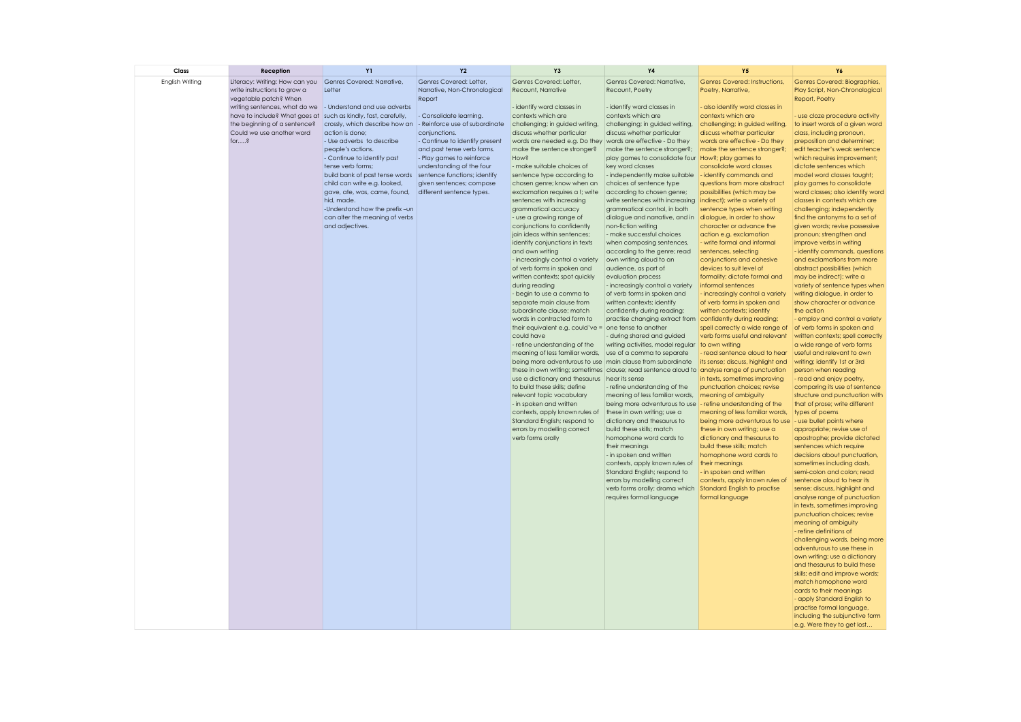| Class           | Reception                                                      | <b>Y1</b>                                                                                          | Y2                                                      | Y <sub>3</sub>                                                                                                                                            | Y4                                                          | <b>Y5</b>                                                    | Y6                                                                |
|-----------------|----------------------------------------------------------------|----------------------------------------------------------------------------------------------------|---------------------------------------------------------|-----------------------------------------------------------------------------------------------------------------------------------------------------------|-------------------------------------------------------------|--------------------------------------------------------------|-------------------------------------------------------------------|
| English Writing | Literacy: Writing: How can you<br>write instructions to grow a | Genres Covered: Narrative,<br>Letter                                                               | Genres Covered: Letter,<br>Narrative, Non-Chronological | Genres Covered: Letter,<br>Recount, Narrative                                                                                                             | Genres Covered: Narrative,<br>Recount, Poetry               | Genres Covered: Instructions,<br>Poetry, Narrative,          | Genres Covered: Biographies,<br>Play Script, Non-Chronological    |
|                 | vegetable patch? When                                          |                                                                                                    | Report                                                  |                                                                                                                                                           |                                                             |                                                              | Report, Poetry                                                    |
|                 | writing sentences, what do we                                  | - Understand and use adverbs                                                                       |                                                         | - identify word classes in                                                                                                                                | - identify word classes in                                  | - also identify word classes in                              |                                                                   |
|                 | have to include? What goes at<br>the beginning of a sentence?  | such as kindly, fast, carefully,<br>crossly, which describe how an  - Reinforce use of subordinate | - Consolidate learning.                                 | contexts which are<br>challenging; in guided writing,                                                                                                     | contexts which are<br>challenging; in guided writing,       | contexts which are<br>challenging; in guided writing,        | - use cloze procedure activity<br>to insert words of a given word |
|                 | Could we use another word                                      | action is done;                                                                                    | conjunctions.                                           | discuss whether particular                                                                                                                                | discuss whether particular                                  | discuss whether particular                                   | class, including pronoun,                                         |
|                 | for?                                                           | - Use adverbs to describe                                                                          | - Continue to identify present                          | words are needed e.g. Do they                                                                                                                             | words are effective - Do they                               | words are effective - Do they                                | preposition and determiner;                                       |
|                 |                                                                | people's actions.                                                                                  | and past tense verb forms.                              | make the sentence stronger?                                                                                                                               | make the sentence stronger?;                                | make the sentence stronger?;                                 | edit teacher's weak sentence                                      |
|                 |                                                                | - Continue to identify past                                                                        | - Play games to reinforce                               | How?                                                                                                                                                      | play games to consolidate four How?; play games to          |                                                              | which requires improvement;                                       |
|                 |                                                                | tense verb forms;                                                                                  | understanding of the four                               | - make suitable choices of                                                                                                                                | key word classes                                            | consolidate word classes                                     | dictate sentences which                                           |
|                 |                                                                | build bank of past tense words sentence functions; identify                                        |                                                         | sentence type according to                                                                                                                                | - independently make suitable                               | - identify commands and                                      | model word classes taught;                                        |
|                 |                                                                | child can write e.g. looked,<br>gave, ate, was, came, found,                                       | given sentences; compose<br>different sentence types.   | chosen genre; know when an<br>exclamation requires a !; write                                                                                             | choices of sentence type<br>according to chosen genre;      | questions from more abstract<br>possibilities (which may be  | play games to consolidate<br>word classes; also identify word     |
|                 |                                                                | hid, made.                                                                                         |                                                         | sentences with increasing                                                                                                                                 | write sentences with increasing                             | indirect); write a variety of                                | classes in contexts which are                                     |
|                 |                                                                | -Understand how the prefix-un                                                                      |                                                         | grammatical accuracy                                                                                                                                      | grammatical control, in both                                | sentence types when writing                                  | challenging; independently                                        |
|                 |                                                                | can alter the meaning of verbs                                                                     |                                                         | - use a growing range of                                                                                                                                  | dialogue and narrative, and in                              | dialogue, in order to show                                   | find the antonyms to a set of                                     |
|                 |                                                                | and adjectives.                                                                                    |                                                         | conjunctions to confidently                                                                                                                               | non-fiction writing                                         | character or advance the                                     | given words; revise possessive                                    |
|                 |                                                                |                                                                                                    |                                                         | join ideas within sentences;                                                                                                                              | - make successful choices                                   | action e.g. exclamation                                      | pronoun; strengthen and                                           |
|                 |                                                                |                                                                                                    |                                                         | identify conjunctions in texts<br>and own writing                                                                                                         | when composing sentences,<br>according to the genre; read   | - write formal and informal<br>sentences, selecting          | improve verbs in writing<br>- identify commands, questions        |
|                 |                                                                |                                                                                                    |                                                         | - increasingly control a variety                                                                                                                          | own writing aloud to an                                     | conjunctions and cohesive                                    | and exclamations from more                                        |
|                 |                                                                |                                                                                                    |                                                         | of verb forms in spoken and                                                                                                                               | audience, as part of                                        | devices to suit level of                                     | abstract possibilities (which                                     |
|                 |                                                                |                                                                                                    |                                                         | written contexts; spot quickly                                                                                                                            | evaluation process                                          | formality; dictate formal and                                | may be indirect); write a                                         |
|                 |                                                                |                                                                                                    |                                                         | during reading                                                                                                                                            | - increasingly control a variety                            | informal sentences                                           | variety of sentence types when                                    |
|                 |                                                                |                                                                                                    |                                                         | - begin to use a comma to                                                                                                                                 | of verb forms in spoken and                                 | - increasingly control a variety                             | writing dialogue, in order to                                     |
|                 |                                                                |                                                                                                    |                                                         | separate main clause from<br>subordinate clause; match                                                                                                    | written contexts; identify<br>confidently during reading;   | of verb forms in spoken and<br>written contexts; identify    | show character or advance<br>the action                           |
|                 |                                                                |                                                                                                    |                                                         | words in contracted form to                                                                                                                               | practise changing extract from confidently during reading;  |                                                              | - employ and control a variety                                    |
|                 |                                                                |                                                                                                    |                                                         | their equivalent e.g. could've = one tense to another                                                                                                     |                                                             | spell correctly a wide range of                              | of verb forms in spoken and                                       |
|                 |                                                                |                                                                                                    |                                                         | could have                                                                                                                                                | - during shared and guided                                  | verb forms useful and relevant                               | written contexts; spell correctly                                 |
|                 |                                                                |                                                                                                    |                                                         | - refine understanding of the                                                                                                                             | writing activities, model regular                           | to own writing                                               | a wide range of verb forms                                        |
|                 |                                                                |                                                                                                    |                                                         | meaning of less familiar words,                                                                                                                           | use of a comma to separate                                  | read sentence aloud to hear                                  | useful and relevant to own                                        |
|                 |                                                                |                                                                                                    |                                                         | being more adventurous to use main clause from subordinate<br>these in own writing; sometimes clause; read sentence aloud to analyse range of punctuation |                                                             | its sense; discuss, highlight and                            | writing; identify 1st or 3rd<br>person when reading               |
|                 |                                                                |                                                                                                    |                                                         | use a dictionary and thesaurus hear its sense                                                                                                             |                                                             | in texts, sometimes improving                                | - read and enjoy poetry,                                          |
|                 |                                                                |                                                                                                    |                                                         | to build these skills; define                                                                                                                             | - refine understanding of the                               | punctuation choices; revise                                  | comparing its use of sentence                                     |
|                 |                                                                |                                                                                                    |                                                         | relevant topic vocabulary                                                                                                                                 | meaning of less familiar words,                             | meaning of ambiguity                                         | structure and punctuation with                                    |
|                 |                                                                |                                                                                                    |                                                         | - in spoken and written                                                                                                                                   | being more adventurous to use                               | - refine understanding of the                                | that of prose; write different                                    |
|                 |                                                                |                                                                                                    |                                                         | contexts, apply known rules of                                                                                                                            | these in own writing; use a                                 | meaning of less familiar words,                              | types of poems                                                    |
|                 |                                                                |                                                                                                    |                                                         | Standard English; respond to<br>errors by modelling correct                                                                                               | dictionary and thesaurus to<br>build these skills; match    | being more adventurous to use<br>these in own writing; use a | - use bullet points where<br>appropriate; revise use of           |
|                 |                                                                |                                                                                                    |                                                         | verb forms orally                                                                                                                                         | homophone word cards to                                     | dictionary and thesaurus to                                  | apostrophe; provide dictated                                      |
|                 |                                                                |                                                                                                    |                                                         |                                                                                                                                                           | their meanings                                              | build these skills; match                                    | sentences which require                                           |
|                 |                                                                |                                                                                                    |                                                         |                                                                                                                                                           | - in spoken and written                                     | homophone word cards to                                      | decisions about punctuation,                                      |
|                 |                                                                |                                                                                                    |                                                         |                                                                                                                                                           | contexts, apply known rules of                              | their meanings                                               | sometimes including dash,                                         |
|                 |                                                                |                                                                                                    |                                                         |                                                                                                                                                           | Standard English; respond to<br>errors by modelling correct | - in spoken and written<br>contexts, apply known rules of    | semi-colon and colon; read<br>sentence aloud to hear its          |
|                 |                                                                |                                                                                                    |                                                         |                                                                                                                                                           | verb forms orally; drama which Standard English to practise |                                                              | sense; discuss, highlight and                                     |
|                 |                                                                |                                                                                                    |                                                         |                                                                                                                                                           | requires formal language                                    | formal language                                              | analyse range of punctuation                                      |
|                 |                                                                |                                                                                                    |                                                         |                                                                                                                                                           |                                                             |                                                              | in texts, sometimes improving                                     |
|                 |                                                                |                                                                                                    |                                                         |                                                                                                                                                           |                                                             |                                                              | punctuation choices; revise                                       |
|                 |                                                                |                                                                                                    |                                                         |                                                                                                                                                           |                                                             |                                                              | meaning of ambiguity                                              |
|                 |                                                                |                                                                                                    |                                                         |                                                                                                                                                           |                                                             |                                                              | - refine definitions of<br>challenging words, being more          |
|                 |                                                                |                                                                                                    |                                                         |                                                                                                                                                           |                                                             |                                                              | adventurous to use these in                                       |
|                 |                                                                |                                                                                                    |                                                         |                                                                                                                                                           |                                                             |                                                              | own writing; use a dictionary                                     |
|                 |                                                                |                                                                                                    |                                                         |                                                                                                                                                           |                                                             |                                                              | and thesaurus to build these                                      |
|                 |                                                                |                                                                                                    |                                                         |                                                                                                                                                           |                                                             |                                                              | skills; edit and improve words;                                   |
|                 |                                                                |                                                                                                    |                                                         |                                                                                                                                                           |                                                             |                                                              | match homophone word                                              |
|                 |                                                                |                                                                                                    |                                                         |                                                                                                                                                           |                                                             |                                                              | cards to their meanings<br>- apply Standard English to            |
|                 |                                                                |                                                                                                    |                                                         |                                                                                                                                                           |                                                             |                                                              | practise formal language,                                         |
|                 |                                                                |                                                                                                    |                                                         |                                                                                                                                                           |                                                             |                                                              | including the subjunctive form                                    |
|                 |                                                                |                                                                                                    |                                                         |                                                                                                                                                           |                                                             |                                                              | e.g. Were they to get lost                                        |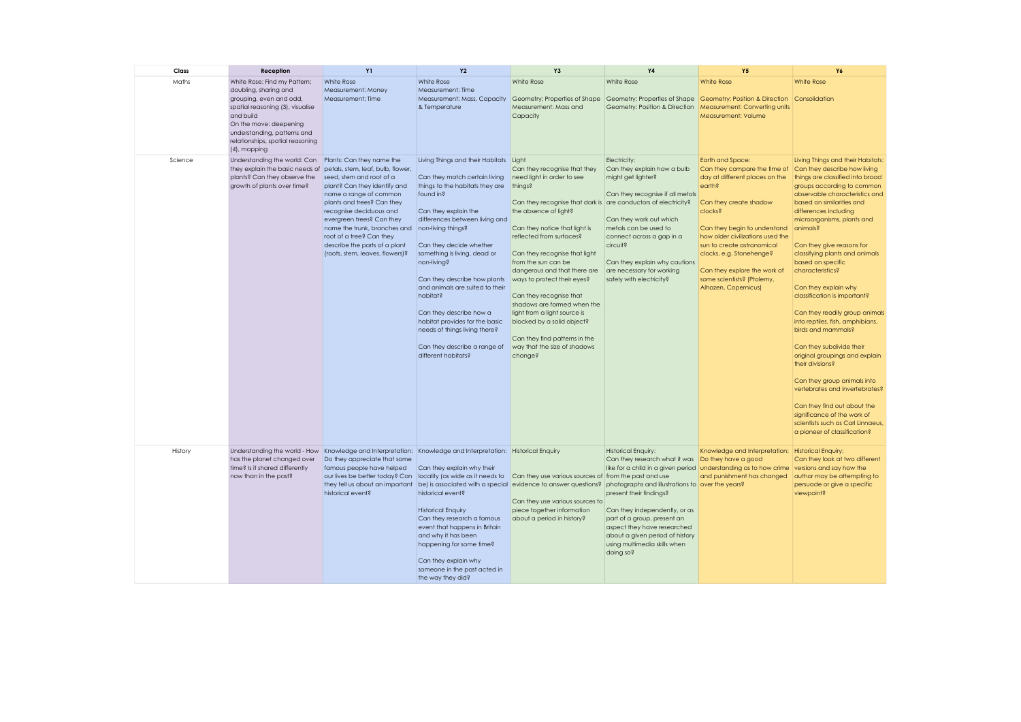| Class   | Reception                                                                                                                                                                                                                                      | <b>Y1</b>                                                                                                                                                                                                                                                                                                                                                                  | <b>Y2</b>                                                                                                                                                                                                                                                                                                                                                                                                                                                                                                             | Y <sub>3</sub>                                                                                                                                                                                                                                                                                                                                                                                                                                                                                                                                           | <b>Y4</b>                                                                                                                                                                                                                                                                                    | <b>Y5</b>                                                                                                                                                                                                                                                                                                                                             | Y6                                                                                                                                                                                                                                                                                                                                                                                                                                                                                                                                                                                                                                                                                                                                                                                                                      |
|---------|------------------------------------------------------------------------------------------------------------------------------------------------------------------------------------------------------------------------------------------------|----------------------------------------------------------------------------------------------------------------------------------------------------------------------------------------------------------------------------------------------------------------------------------------------------------------------------------------------------------------------------|-----------------------------------------------------------------------------------------------------------------------------------------------------------------------------------------------------------------------------------------------------------------------------------------------------------------------------------------------------------------------------------------------------------------------------------------------------------------------------------------------------------------------|----------------------------------------------------------------------------------------------------------------------------------------------------------------------------------------------------------------------------------------------------------------------------------------------------------------------------------------------------------------------------------------------------------------------------------------------------------------------------------------------------------------------------------------------------------|----------------------------------------------------------------------------------------------------------------------------------------------------------------------------------------------------------------------------------------------------------------------------------------------|-------------------------------------------------------------------------------------------------------------------------------------------------------------------------------------------------------------------------------------------------------------------------------------------------------------------------------------------------------|-------------------------------------------------------------------------------------------------------------------------------------------------------------------------------------------------------------------------------------------------------------------------------------------------------------------------------------------------------------------------------------------------------------------------------------------------------------------------------------------------------------------------------------------------------------------------------------------------------------------------------------------------------------------------------------------------------------------------------------------------------------------------------------------------------------------------|
| Maths   | White Rose: Find my Pattern:<br>doubling, sharing and<br>grouping, even and odd,<br>spatial reasoning (3), visualise<br>and build<br>On the move: deepening<br>understanding, patterns and<br>relationships, spatial reasoning<br>(4), mapping | White Rose<br>Measurement: Money<br>Measurement: Time                                                                                                                                                                                                                                                                                                                      | White Rose<br>Measurement: Time<br>Measurement: Mass, Capacity<br>& Temperature                                                                                                                                                                                                                                                                                                                                                                                                                                       | White Rose<br>Measurement: Mass and<br>Capacity                                                                                                                                                                                                                                                                                                                                                                                                                                                                                                          | White Rose<br>Geometry: Position & Direction                                                                                                                                                                                                                                                 | <b>White Rose</b><br>Geometry: Properties of Shape Geometry: Properties of Shape Geometry: Position & Direction Consolidation<br>Measurement: Converting units<br>Measurement: Volume                                                                                                                                                                 | <b>White Rose</b>                                                                                                                                                                                                                                                                                                                                                                                                                                                                                                                                                                                                                                                                                                                                                                                                       |
| Science | Understanding the world: Can<br>they explain the basic needs of<br>plants? Can they observe the<br>growth of plants over time?                                                                                                                 | Plants: Can they name the<br>petals, stem, leaf, bulb, flower,<br>seed, stem and root of a<br>plant? Can they identify and<br>name a range of common<br>plants and trees? Can they<br>recognise deciduous and<br>evergreen trees? Can they<br>name the trunk, branches and<br>root of a tree? Can they<br>describe the parts of a plant<br>(roots, stem, leaves, flowers)? | Living Things and their Habitats Light<br>Can they match certain living<br>things to the habitats they are<br>found in?<br>Can they explain the<br>differences between living and<br>non-living things?<br>Can they decide whether<br>something is living, dead or<br>non-living?<br>Can they describe how plants<br>and animals are suited to their<br>habitat?<br>Can they describe how a<br>habitat provides for the basic<br>needs of things living there?<br>Can they describe a range of<br>different habitats? | Can they recognise that they<br>need light in order to see<br>things?<br>Can they recognise that dark is are conductors of electricity?<br>the absence of light?<br>Can they notice that light is<br>reflected from surfaces?<br>Can they recognise that light<br>from the sun can be<br>dangerous and that there are<br>ways to protect their eyes?<br>Can they recognise that<br>shadows are formed when the<br>light from a light source is<br>blocked by a solid object?<br>Can they find patterns in the<br>way that the size of shadows<br>change? | Electricity:<br>Can they explain how a bulb<br>might get lighter?<br>Can they recognise if all metals<br>Can they work out which<br>metals can be used to<br>connect across a gap in a<br>circuit?<br>Can they explain why cautions<br>are necessary for working<br>safely with electricity? | Earth and Space:<br>Can they compare the time of<br>day at different places on the<br>earth?<br>Can they create shadow<br>clocks?<br>Can they begin to understand<br>how older civilizations used the<br>sun to create astronomical<br>clocks, e.g. Stonehenge?<br>Can they explore the work of<br>some scientists? (Ptolemy,<br>Alhazen, Copernicus) | Living Things and their Habitats:<br>Can they describe how living<br>things are classified into broad<br>groups according to common<br>observable characteristics and<br>based on similarities and<br>differences including<br>microorganisms, plants and<br>animals?<br>Can they give reasons for<br>classifying plants and animals<br>based on specific<br>characteristics?<br>Can they explain why<br>classification is important?<br>Can they readily group animals<br>into reptiles, fish, amphibians,<br>birds and mammals?<br>Can they subdivide their<br>original groupings and explain<br>their divisions?<br>Can they group animals into<br>vertebrates and invertebrates?<br>Can they find out about the<br>significance of the work of<br>scientists such as Carl Linnaeus,<br>a pioneer of classification? |
| History | Understanding the world - How<br>has the planet changed over<br>time? Is it shared differently<br>now than in the past?                                                                                                                        | Do they appreciate that some<br>famous people have helped<br>our lives be better today? Can<br>they tell us about an important<br>historical event?                                                                                                                                                                                                                        | Knowledge and Interpretation: Knowledge and Interpretation: Historical Enquiry<br>Can they explain why their<br>locality (as wide as it needs to<br>historical event?<br><b>Historical Enquiry</b><br>Can they research a famous<br>event that happens in Britain<br>and why it has been<br>happening for some time?<br>Can they explain why<br>someone in the past acted in<br>the way they did?                                                                                                                     | Can they use various sources of from the past and use<br>be) is associated with a special evidence to answer questions? photographs and illustrations to over the years?<br>Can they use various sources to<br>piece together information<br>about a period in history?                                                                                                                                                                                                                                                                                  | <b>Historical Enquiry:</b><br>Can they research what it was<br>present their findings?<br>Can they independently, or as<br>part of a group, present an<br>aspect they have researched<br>about a given period of history<br>using multimedia skills when<br>doing so?                        | Knowledge and Interpretation: Historical Enquiry:<br>Do they have a good<br>like for a child in a given period understanding as to how crime<br>and punishment has changed                                                                                                                                                                            | Can they look at two different<br>versions and say how the<br>author may be attempting to<br>persuade or give a specific<br>viewpoint?                                                                                                                                                                                                                                                                                                                                                                                                                                                                                                                                                                                                                                                                                  |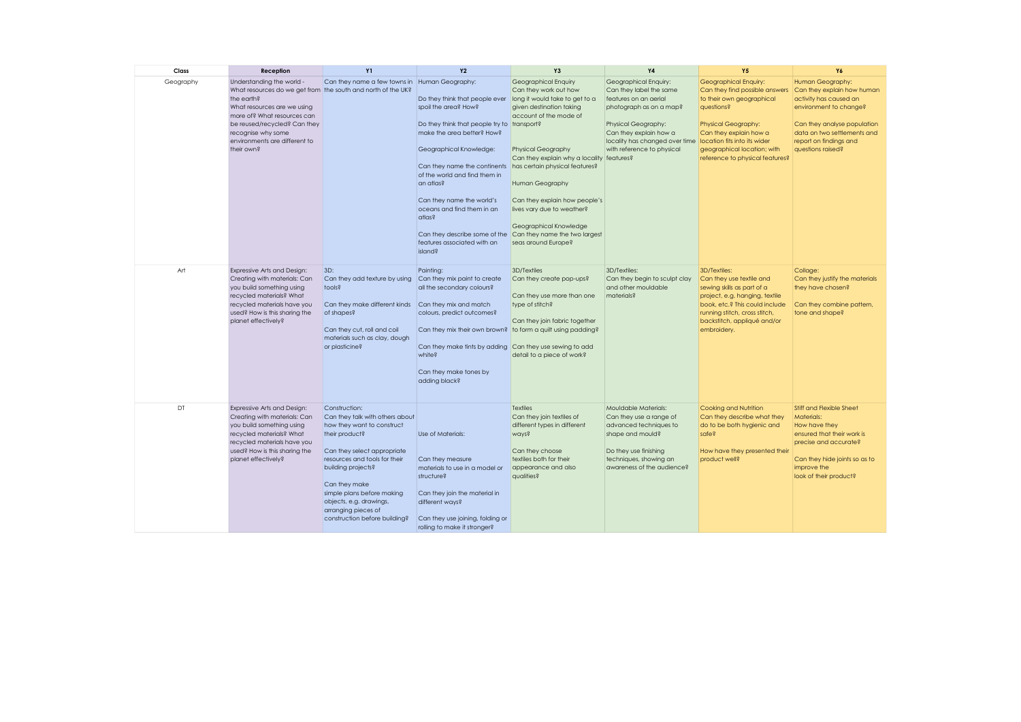| Class     | Reception                                                                                                                                                                                                                                                                  | <b>Y1</b>                                                                                                                                                                                                                                                                                                                | <b>Y2</b>                                                                                                                                                                                                                                                                                                                                                                                    | Y <sub>3</sub>                                                                                                                                                                                                                                                                                                                                                                                                        | <b>Y4</b>                                                                                                                                                                                                                                          | <b>Y5</b>                                                                                                                                                                                                                    | Y6                                                                                                                                                                                                              |
|-----------|----------------------------------------------------------------------------------------------------------------------------------------------------------------------------------------------------------------------------------------------------------------------------|--------------------------------------------------------------------------------------------------------------------------------------------------------------------------------------------------------------------------------------------------------------------------------------------------------------------------|----------------------------------------------------------------------------------------------------------------------------------------------------------------------------------------------------------------------------------------------------------------------------------------------------------------------------------------------------------------------------------------------|-----------------------------------------------------------------------------------------------------------------------------------------------------------------------------------------------------------------------------------------------------------------------------------------------------------------------------------------------------------------------------------------------------------------------|----------------------------------------------------------------------------------------------------------------------------------------------------------------------------------------------------------------------------------------------------|------------------------------------------------------------------------------------------------------------------------------------------------------------------------------------------------------------------------------|-----------------------------------------------------------------------------------------------------------------------------------------------------------------------------------------------------------------|
| Geography | Understanding the world -<br>What resources do we get from the south and north of the UK?<br>the earth?<br>What resources are we using<br>more of? What resources can<br>be reused/recycled? Can they<br>recognise why some<br>environments are different to<br>their own? | Can they name a few towns in Human Geography:                                                                                                                                                                                                                                                                            | Do they think that people ever<br>spoil the area? How?<br>Do they think that people try to transport?<br>make the area better? How?<br>Geographical Knowledge:<br>Can they name the continents<br>of the world and find them in<br>an atlas?<br>Can they name the world's<br>oceans and find them in an<br>atlas?<br>Can they describe some of the<br>features associated with an<br>island? | Geographical Enquiry<br>Can they work out how<br>long it would take to get to a<br>given destination taking<br>account of the mode of<br><b>Physical Geography</b><br>Can they explain why a locality features?<br>has certain physical features?<br>Human Geography<br>Can they explain how people's<br>lives vary due to weather?<br>Geographical Knowledge<br>Can they name the two largest<br>seas around Europe? | Geographical Enquiry:<br>Can they label the same<br>features on an aerial<br>photograph as on a map?<br>Physical Geography:<br>Can they explain how a<br>locality has changed over time location fits into its wider<br>with reference to physical | Geographical Enquiry:<br>Can they find possible answers<br>to their own geographical<br>questions?<br><b>Physical Geography:</b><br>Can they explain how a<br>geographical location; with<br>reference to physical features? | Human Geography:<br>Can they explain how human<br>activity has caused an<br>environment to change?<br>Can they analyse population<br>data on two settlements and<br>report on findings and<br>questions raised? |
| Art       | Expressive Arts and Design:<br>Creating with materials: Can<br>you build something using<br>recycled materials? What<br>recycled materials have you<br>used? How is this sharing the<br>planet effectively?                                                                | 3D:<br>Can they add texture by using<br>tools?<br>Can they make different kinds<br>of shapes?<br>Can they cut, roll and coil<br>materials such as clay, dough<br>or plasticine?                                                                                                                                          | Painting:<br>Can they mix paint to create<br>all the secondary colours?<br>Can they mix and match<br>colours, predict outcomes?<br>Can they mix their own brown? to form a quilt using padding?<br>Can they make tints by adding Can they use sewing to add<br>white?<br>Can they make tones by<br>adding black?                                                                             | 3D/Textiles<br>Can they create pop-ups?<br>Can they use more than one<br>type of stitch?<br>Can they join fabric together<br>detail to a piece of work?                                                                                                                                                                                                                                                               | 3D/Textiles:<br>Can they begin to sculpt clay<br>and other mouldable<br>materials?                                                                                                                                                                 | 3D/Textiles:<br>Can they use textile and<br>sewing skills as part of a<br>project, e.g. hanging, textile<br>book, etc.? This could include<br>running stitch, cross stitch,<br>backstitch, appliqué and/or<br>embroidery.    | Collage:<br>Can they justify the materials<br>they have chosen?<br>Can they combine pattern,<br>tone and shape?                                                                                                 |
| DT        | Expressive Arts and Design:<br>Creating with materials: Can<br>you build something using<br>recycled materials? What<br>recycled materials have you<br>used? How is this sharing the<br>planet effectively?                                                                | Construction:<br>Can they talk with others about<br>how they want to construct<br>their product?<br>Can they select appropriate<br>resources and tools for their<br>building projects?<br>Can they make<br>simple plans before making<br>objects, e.g. drawings,<br>arranging pieces of<br>construction before building? | Use of Materials:<br>Can they measure<br>materials to use in a model or<br>structure?<br>Can they join the material in<br>different ways?<br>Can they use joining, folding or<br>rolling to make it stronger?                                                                                                                                                                                | <b>Textiles</b><br>Can they join textiles of<br>different types in different<br>ways?<br>Can they choose<br>textiles both for their<br>appearance and also<br>qualities?                                                                                                                                                                                                                                              | Mouldable Materials:<br>Can they use a range of<br>advanced techniques to<br>shape and mould?<br>Do they use finishing<br>techniques, showing an<br>awareness of the audience?                                                                     | Cooking and Nutrition<br>Can they describe what they<br>do to be both hygienic and<br>safe?<br>How have they presented their<br>product well?                                                                                | <b>Stiff and Flexible Sheet</b><br><b>Materials:</b><br>How have they<br>ensured that their work is<br>precise and accurate?<br>Can they hide joints so as to<br>improve the<br>look of their product?          |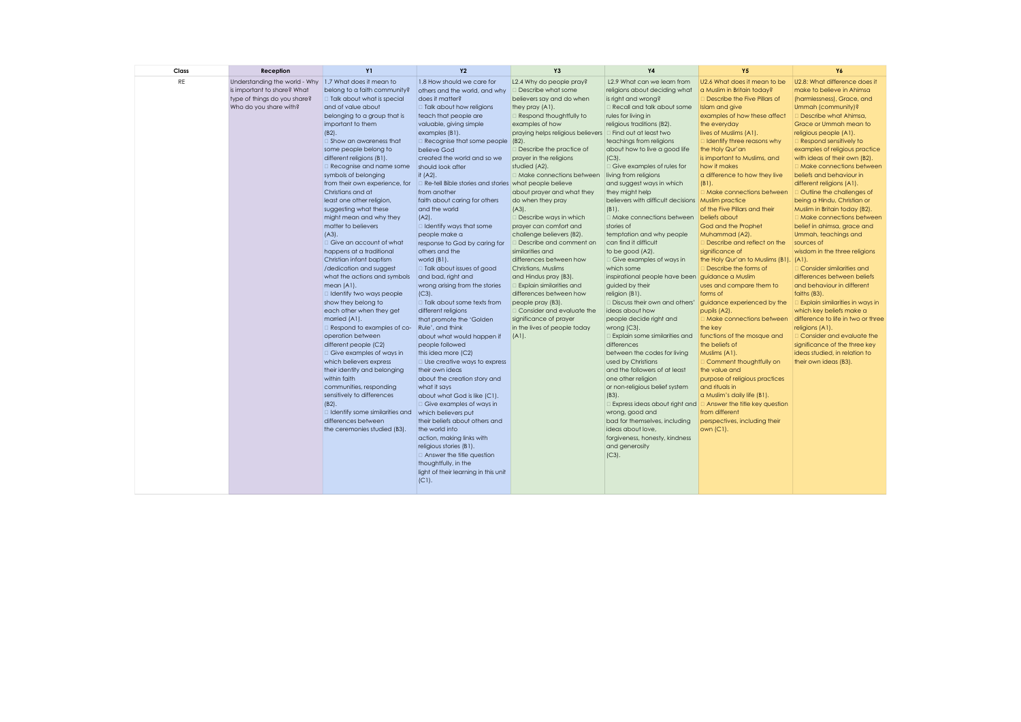| Class     | <b>Reception</b>                                                                                                       | <b>Y1</b>                                                                                                                                                                                                                                                                                                                                                                                                                                                                                                                                                                                                                                                                                                                                                                                                                                                                                                                                                                                                                                                                                                           | <b>Y2</b>                                                                                                                                                                                                                                                                                                                                                                                                                                                                                                                                                                                                                                                                                                                                                                                                                                                                                                                                                                                                                                                                                                                                         | Y <sub>3</sub>                                                                                                                                                                                                                                                                                                                                                                                                                                                                                                                                                                                                                                                                                                                                               | <b>Y4</b>                                                                                                                                                                                                                                                                                                                                                                                                                                                                                                                                                                                                                                                                                                                                                                                                                                                                                                                                                                                                                                                                                                                                                                                                     | <b>Y5</b>                                                                                                                                                                                                                                                                                                                                                                                                                                                                                                                                                                                                                                                                                                                                                                                                                                                                                                                                                                                        | <b>Y6</b>                                                                                                                                                                                                                                                                                                                                                                                                                                                                                                                                                                                                                                                                                                                                                                                                                                                                                                                                                                              |
|-----------|------------------------------------------------------------------------------------------------------------------------|---------------------------------------------------------------------------------------------------------------------------------------------------------------------------------------------------------------------------------------------------------------------------------------------------------------------------------------------------------------------------------------------------------------------------------------------------------------------------------------------------------------------------------------------------------------------------------------------------------------------------------------------------------------------------------------------------------------------------------------------------------------------------------------------------------------------------------------------------------------------------------------------------------------------------------------------------------------------------------------------------------------------------------------------------------------------------------------------------------------------|---------------------------------------------------------------------------------------------------------------------------------------------------------------------------------------------------------------------------------------------------------------------------------------------------------------------------------------------------------------------------------------------------------------------------------------------------------------------------------------------------------------------------------------------------------------------------------------------------------------------------------------------------------------------------------------------------------------------------------------------------------------------------------------------------------------------------------------------------------------------------------------------------------------------------------------------------------------------------------------------------------------------------------------------------------------------------------------------------------------------------------------------------|--------------------------------------------------------------------------------------------------------------------------------------------------------------------------------------------------------------------------------------------------------------------------------------------------------------------------------------------------------------------------------------------------------------------------------------------------------------------------------------------------------------------------------------------------------------------------------------------------------------------------------------------------------------------------------------------------------------------------------------------------------------|---------------------------------------------------------------------------------------------------------------------------------------------------------------------------------------------------------------------------------------------------------------------------------------------------------------------------------------------------------------------------------------------------------------------------------------------------------------------------------------------------------------------------------------------------------------------------------------------------------------------------------------------------------------------------------------------------------------------------------------------------------------------------------------------------------------------------------------------------------------------------------------------------------------------------------------------------------------------------------------------------------------------------------------------------------------------------------------------------------------------------------------------------------------------------------------------------------------|--------------------------------------------------------------------------------------------------------------------------------------------------------------------------------------------------------------------------------------------------------------------------------------------------------------------------------------------------------------------------------------------------------------------------------------------------------------------------------------------------------------------------------------------------------------------------------------------------------------------------------------------------------------------------------------------------------------------------------------------------------------------------------------------------------------------------------------------------------------------------------------------------------------------------------------------------------------------------------------------------|----------------------------------------------------------------------------------------------------------------------------------------------------------------------------------------------------------------------------------------------------------------------------------------------------------------------------------------------------------------------------------------------------------------------------------------------------------------------------------------------------------------------------------------------------------------------------------------------------------------------------------------------------------------------------------------------------------------------------------------------------------------------------------------------------------------------------------------------------------------------------------------------------------------------------------------------------------------------------------------|
| <b>RE</b> | Understanding the world - Why<br>is important to share? What<br>type of things do you share?<br>Who do you share with? | 1.7 What does it mean to<br>belong to a faith community?<br>Talk about what is special<br>and of value about<br>belonging to a group that is<br>important to them<br>$(B2)$ .<br>□ Show an awareness that<br>some people belong to<br>different religions (B1).<br>Recognise and name some<br>symbols of belonging<br>from their own experience, for<br>Christians and at<br>least one other religion,<br>suggesting what these<br>might mean and why they<br>matter to believers<br>$(A3)$ .<br>Give an account of what<br>happens at a traditional<br>Christian infant baptism<br>/dedication and suggest<br>what the actions and symbols<br>mean (A1).<br>I Identify two ways people<br>show they belong to<br>each other when they get<br>married (A1).<br>Respond to examples of co-<br>operation between<br>different people (C2)<br>Give examples of ways in<br>which believers express<br>their identity and belonging<br>within faith<br>communities, responding<br>sensitively to differences<br>$(B2)$ .<br>$\Box$ Identify some similarities and<br>differences between<br>the ceremonies studied (B3). | 1.8 How should we care for<br>others and the world, and why<br>does it matter?<br>□ Talk about how religions<br>teach that people are<br>valuable, giving simple<br>examples (B1).<br>Recognise that some people<br>believe God<br>created the world and so we<br>should look after<br>it (A2).<br>Re-tell Bible stories and stories what people believe<br>from another<br>faith about caring for others<br>and the world<br>$(A2)$ .<br>I Identify ways that some<br>people make a<br>response to God by caring for<br>others and the<br>world (B1).<br>□ Talk about issues of good<br>and bad, right and<br>wrong arising from the stories<br>$(C3)$ .<br>□ Talk about some texts from<br>different religions<br>that promote the 'Golden<br>Rule', and think<br>about what would happen if<br>people followed<br>this idea more (C2)<br>$\Box$ Use creative ways to express<br>their own ideas<br>about the creation story and<br>what it says<br>about what God is like (C1).<br>Give examples of ways in<br>which believers put<br>their beliefs about others and<br>the world into<br>action, making links with<br>religious stories (B1). | L2.4 Why do people pray?<br>Describe what some<br>believers say and do when<br>they pray (A1).<br>Respond thoughtfully to<br>examples of how<br>praying helps religious believers<br>$(B2)$ .<br>Describe the practice of<br>prayer in the religions<br>studied (A2).<br>□ Make connections between<br>about prayer and what they<br>do when they pray<br>$(A3)$ .<br>Describe ways in which<br>prayer can comfort and<br>challenge believers (B2).<br>Describe and comment on<br>similarities and<br>differences between how<br>Christians, Muslims<br>and Hindus pray (B3).<br>Explain similarities and<br>differences between how<br>people pray (B3).<br>Consider and evaluate the<br>significance of prayer<br>in the lives of people today<br>$(A1)$ . | L2.9 What can we learn from<br>religions about deciding what<br>is right and wrong?<br>Recall and talk about some<br>rules for living in<br>religious traditions (B2).<br>$\Box$ Find out at least two<br>teachings from religions<br>about how to live a good life<br>$(C3)$ .<br>□ Give examples of rules for<br>living from religions<br>and suggest ways in which<br>they might help<br>believers with difficult decisions Muslim practice<br>$(B1)$ .<br>□ Make connections between beliefs about<br>stories of<br>temptation and why people<br>can find it difficult<br>to be good (A2).<br>Give examples of ways in<br>which some<br>inspirational people have been guidance a Muslim<br>guided by their<br>religion (B1).<br>□ Discuss their own and others'<br>ideas about how<br>people decide right and<br>wrong $(C3)$ .<br>Explain some similarities and<br>differences<br>between the codes for living<br>used by Christians<br>and the followers of at least<br>one other religion<br>or non-religious belief system<br>$(B3)$ .<br>Express ideas about right and<br>wrong, good and<br>bad for themselves, including<br>ideas about love,<br>forgiveness, honesty, kindness<br>and generosity | U2.6 What does it mean to be<br>a Muslim in Britain today?<br>Describe the Five Pillars of<br>Islam and give<br>examples of how these affect<br>the everyday<br>lives of Muslims (A1).<br>Identify three reasons why<br>the Holy Qur'an<br>is important to Muslims, and<br>how it makes<br>a difference to how they live<br>$(B1)$ .<br>Make connections between<br>of the Five Pillars and their<br>God and the Prophet<br>Muhammad (A2).<br>Describe and reflect on the<br>significance of<br>the Holy Qur'an to Muslims (B1).<br>Describe the forms of<br>uses and compare them to<br>forms of<br>guidance experienced by the<br>pupils (A2).<br>Make connections between<br>the key<br>functions of the mosque and<br>the beliefs of<br>Muslims (A1).<br>Comment thoughtfully on<br>the value and<br>purpose of religious practices<br>and rituals in<br>a Muslim's daily life (B1).<br>$\Box$ Answer the title key question<br>from different<br>perspectives, including their<br>own (C1). | U2.8: What difference does it<br>make to believe in Ahimsa<br>(harmlessness), Grace, and<br>Ummah (community)?<br>Describe what Ahimsa,<br>Grace or Ummah mean to<br>religious people (A1).<br>Respond sensitively to<br>examples of religious practice<br>with ideas of their own (B2).<br>□ Make connections between<br>beliefs and behaviour in<br>different religions (A1).<br>Outline the challenges of<br>being a Hindu, Christian or<br>Muslim in Britain today (B2).<br>□ Make connections between<br>belief in ahimsa, grace and<br>Ummah, teachings and<br>sources of<br>wisdom in the three religions<br>$(A1)$ .<br>Consider similarities and<br>differences between beliefs<br>and behaviour in different<br>faiths (B3).<br>Explain similarities in ways in<br>which key beliefs make a<br>difference to life in two or three<br>religions (A1).<br>Consider and evaluate the<br>significance of the three key<br>ideas studied, in relation to<br>their own ideas (B3). |
|           |                                                                                                                        |                                                                                                                                                                                                                                                                                                                                                                                                                                                                                                                                                                                                                                                                                                                                                                                                                                                                                                                                                                                                                                                                                                                     | □ Answer the title question<br>thoughtfully, in the<br>light of their learning in this unit<br>$(C1)$ .                                                                                                                                                                                                                                                                                                                                                                                                                                                                                                                                                                                                                                                                                                                                                                                                                                                                                                                                                                                                                                           |                                                                                                                                                                                                                                                                                                                                                                                                                                                                                                                                                                                                                                                                                                                                                              | $(C3)$ .                                                                                                                                                                                                                                                                                                                                                                                                                                                                                                                                                                                                                                                                                                                                                                                                                                                                                                                                                                                                                                                                                                                                                                                                      |                                                                                                                                                                                                                                                                                                                                                                                                                                                                                                                                                                                                                                                                                                                                                                                                                                                                                                                                                                                                  |                                                                                                                                                                                                                                                                                                                                                                                                                                                                                                                                                                                                                                                                                                                                                                                                                                                                                                                                                                                        |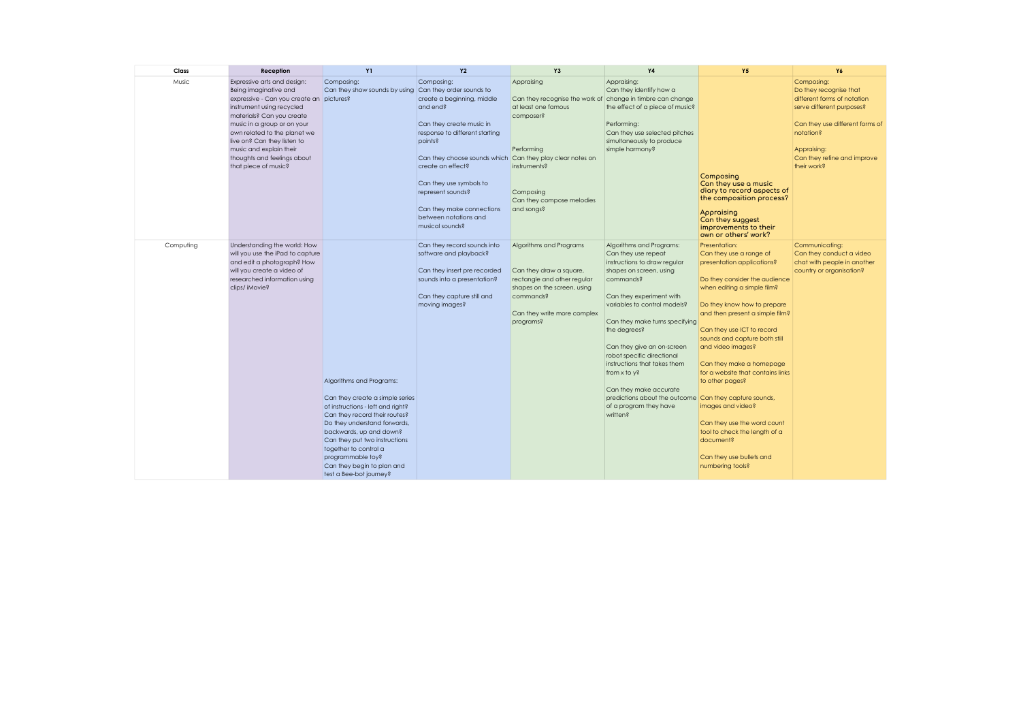| Class     | Reception                                                                                                                                                                                                                                                                                                                                                                  | <b>Y1</b>                                                                                                                                                                                                                                                                                                                            | <b>Y2</b>                                                                                                                                                                                                                                                                                                                                | <b>Y3</b>                                                                                                                                                                                          | <b>Y4</b>                                                                                                                                                                                                                                                                                                                                                                                                                                                                   | <b>Y5</b>                                                                                                                                                                                                                                                                                                                                                                                                                                                                                                         | Y6                                                                                                                                                                                                            |
|-----------|----------------------------------------------------------------------------------------------------------------------------------------------------------------------------------------------------------------------------------------------------------------------------------------------------------------------------------------------------------------------------|--------------------------------------------------------------------------------------------------------------------------------------------------------------------------------------------------------------------------------------------------------------------------------------------------------------------------------------|------------------------------------------------------------------------------------------------------------------------------------------------------------------------------------------------------------------------------------------------------------------------------------------------------------------------------------------|----------------------------------------------------------------------------------------------------------------------------------------------------------------------------------------------------|-----------------------------------------------------------------------------------------------------------------------------------------------------------------------------------------------------------------------------------------------------------------------------------------------------------------------------------------------------------------------------------------------------------------------------------------------------------------------------|-------------------------------------------------------------------------------------------------------------------------------------------------------------------------------------------------------------------------------------------------------------------------------------------------------------------------------------------------------------------------------------------------------------------------------------------------------------------------------------------------------------------|---------------------------------------------------------------------------------------------------------------------------------------------------------------------------------------------------------------|
| Music     | Expressive arts and design:<br>Being imaginative and<br>expressive - Can you create an pictures?<br>instrument using recycled<br>materials? Can you create<br>music in a group or on your<br>own related to the planet we<br>live on? Can they listen to<br>music and explain their<br>thoughts and feelings about<br>that piece of music?<br>Understanding the world: How | Composing:<br>Can they show sounds by using Can they order sounds to                                                                                                                                                                                                                                                                 | Composing:<br>create a beginning, middle<br>and end?<br>Can they create music in<br>response to different starting<br>points?<br>Can they choose sounds which Can they play clear notes on<br>create an effect?<br>Can they use symbols to<br>represent sounds?<br>Can they make connections<br>between notations and<br>musical sounds? | Appraising<br>Can they recognise the work of change in timbre can change<br>at least one famous<br>composer?<br>Performing<br>instruments?<br>Composing<br>Can they compose melodies<br>and songs? | Appraising:<br>Can they identify how a<br>the effect of a piece of music?<br>Performing:<br>Can they use selected pitches<br>simultaneously to produce<br>simple harmony?                                                                                                                                                                                                                                                                                                   | Composing<br>Can they use a music<br>diary to record aspects of<br>the composition process?<br>Appraising<br>Can they suggest<br>improvements to their<br>own or others' work?<br>Presentation:                                                                                                                                                                                                                                                                                                                   | Composing:<br>Do they recognise that<br>different forms of notation<br>serve different purposes?<br>Can they use different forms of<br>notation?<br>Appraising:<br>Can they refine and improve<br>their work? |
| Computing | will you use the iPad to capture<br>and edit a photograph? How<br>will you create a video of<br>researched information using<br>clips/ iMovie?                                                                                                                                                                                                                             | Algorithms and Programs:<br>Can they create a simple series<br>of instructions - left and right?<br>Can they record their routes?<br>Do they understand forwards,<br>backwards, up and down?<br>Can they put two instructions<br>together to control a<br>programmable toy?<br>Can they begin to plan and<br>test a Bee-bot journey? | Can they record sounds into<br>software and playback?<br>Can they insert pre recorded<br>sounds into a presentation?<br>Can they capture still and<br>moving images?                                                                                                                                                                     | Algorithms and Programs<br>Can they draw a square,<br>rectangle and other regular<br>shapes on the screen, using<br>commands?<br>Can they write more complex<br>programs?                          | Algorithms and Programs:<br>Can they use repeat<br>instructions to draw regular<br>shapes on screen, using<br>commands?<br>Can they experiment with<br>variables to control models?<br>Can they make turns specifying<br>the degrees?<br>Can they give an on-screen<br>robot specific directional<br>instructions that takes them<br>from x to y?<br>Can they make accurate<br>predictions about the outcome Can they capture sounds,<br>of a program they have<br>written? | Can they use a range of<br>presentation applications?<br>Do they consider the audience<br>when editing a simple film?<br>Do they know how to prepare<br>and then present a simple film?<br>Can they use ICT to record<br>sounds and capture both still<br>and video images?<br>Can they make a homepage<br>for a website that contains links<br>to other pages?<br>images and video?<br>Can they use the word count<br>tool to check the length of a<br>document?<br>Can they use bullets and<br>numbering tools? | Communicating:<br>Can they conduct a video<br>chat with people in another<br>country or organisation?                                                                                                         |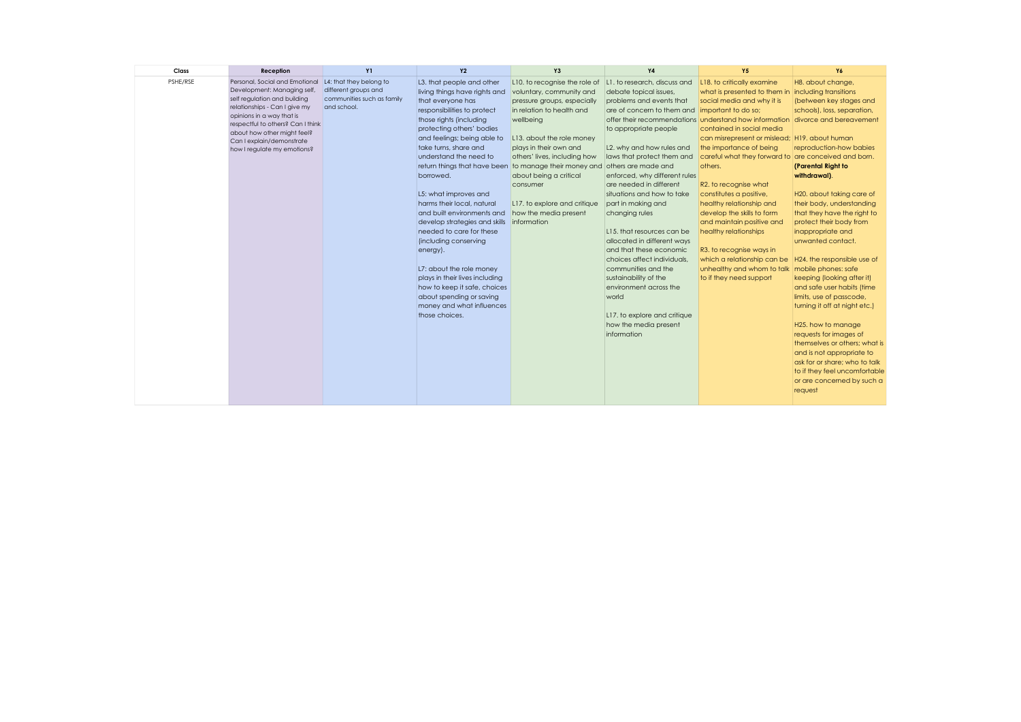| Class<br>Reception                                                                                                                                                                                                                                                                                      | <b>Y1</b>                                                                                    | <b>Y2</b>                                                                                                                                                                                                                                                                                                                                                                                                                                                                                                                                                                                                                                                             | Y <sub>3</sub>                                                                                                                                                                                                                                                                                                                                                       | <b>Y4</b>                                                                                                                                                                                                                                                                                                                                                                                                                                                                                                                                                                                                                                       | <b>Y5</b>                                                                                                                                                                                                                                                                                                                                                                                                                                                                                                                                                                                                                                     | Y6                                                                                                                                                                                                                                                                                                                                                                                                                                                                                                                                                                                                                                                                                                                                                                     |
|---------------------------------------------------------------------------------------------------------------------------------------------------------------------------------------------------------------------------------------------------------------------------------------------------------|----------------------------------------------------------------------------------------------|-----------------------------------------------------------------------------------------------------------------------------------------------------------------------------------------------------------------------------------------------------------------------------------------------------------------------------------------------------------------------------------------------------------------------------------------------------------------------------------------------------------------------------------------------------------------------------------------------------------------------------------------------------------------------|----------------------------------------------------------------------------------------------------------------------------------------------------------------------------------------------------------------------------------------------------------------------------------------------------------------------------------------------------------------------|-------------------------------------------------------------------------------------------------------------------------------------------------------------------------------------------------------------------------------------------------------------------------------------------------------------------------------------------------------------------------------------------------------------------------------------------------------------------------------------------------------------------------------------------------------------------------------------------------------------------------------------------------|-----------------------------------------------------------------------------------------------------------------------------------------------------------------------------------------------------------------------------------------------------------------------------------------------------------------------------------------------------------------------------------------------------------------------------------------------------------------------------------------------------------------------------------------------------------------------------------------------------------------------------------------------|------------------------------------------------------------------------------------------------------------------------------------------------------------------------------------------------------------------------------------------------------------------------------------------------------------------------------------------------------------------------------------------------------------------------------------------------------------------------------------------------------------------------------------------------------------------------------------------------------------------------------------------------------------------------------------------------------------------------------------------------------------------------|
| PSHE/RSE<br>Personal, Social and Emotional<br>Development: Managing self,<br>self regulation and building<br>relationships - Can I give my<br>opinions in a way that is<br>respectful to others? Can I think<br>about how other might feel?<br>Can I explain/demonstrate<br>how I regulate my emotions? | L4: that they belong to<br>different groups and<br>communities such as family<br>and school. | L3. that people and other<br>living things have rights and<br>that everyone has<br>responsibilities to protect<br>those rights (including<br>protecting others' bodies<br>and feelings; being able to<br>take turns, share and<br>understand the need to<br>return things that have been<br>borrowed.<br>L5: what improves and<br>harms their local, natural<br>and built environments and<br>develop strategies and skills<br>needed to care for these<br>(including conserving<br>energy).<br>L7: about the role money<br>plays in their lives including<br>how to keep it safe, choices<br>about spending or saving<br>money and what influences<br>those choices. | L10, to recognise the role of<br>voluntary, community and<br>pressure groups, especially<br>in relation to health and<br>wellbeing<br>L13. about the role money<br>plays in their own and<br>others' lives, including how<br>to manage their money and<br>about being a critical<br>consumer<br>L17, to explore and critique<br>how the media present<br>information | L1, to research, discuss and<br>debate topical issues,<br>problems and events that<br>are of concern to them and<br>to appropriate people<br>L2. why and how rules and<br>laws that protect them and<br>others are made and<br>enforced, why different rules<br>are needed in different<br>situations and how to take<br>part in making and<br>changing rules<br>L15, that resources can be<br>allocated in different ways<br>and that these economic<br>choices affect individuals.<br>communities and the<br>sustainability of the<br>environment across the<br>world<br>L17, to explore and critique<br>how the media present<br>information | L18. to critically examine<br>what is presented to them in<br>social media and why it is<br>important to do so;<br>offer their recommendations understand how information<br>contained in social media<br>can misrepresent or mislead; H19. about human<br>the importance of being<br>careful what they forward to are conceived and born.<br>others.<br>R2. to recognise what<br>constitutes a positive,<br>healthy relationship and<br>develop the skills to form<br>and maintain positive and<br>healthy relationships<br>R3. to recognise ways in<br>which a relationship can be<br>unhealthy and whom to talk<br>to if they need support | H8. about change,<br>including transitions<br>(between key stages and<br>schools), loss, separation,<br>divorce and bereavement<br>reproduction-how babies<br>(Parental Right to<br>withdrawal).<br>H20, about taking care of<br>their body, understanding<br>that they have the right to<br>protect their body from<br>inappropriate and<br>unwanted contact.<br>H24, the responsible use of<br>mobile phones: safe<br>keeping (looking after it)<br>and safe user habits (time<br>limits, use of passcode,<br>turning it off at night etc.)<br>H25. how to manage<br>requests for images of<br>themselves or others; what is<br>and is not appropriate to<br>ask for or share; who to talk<br>to if they feel uncomfortable<br>or are concerned by such a<br>request |